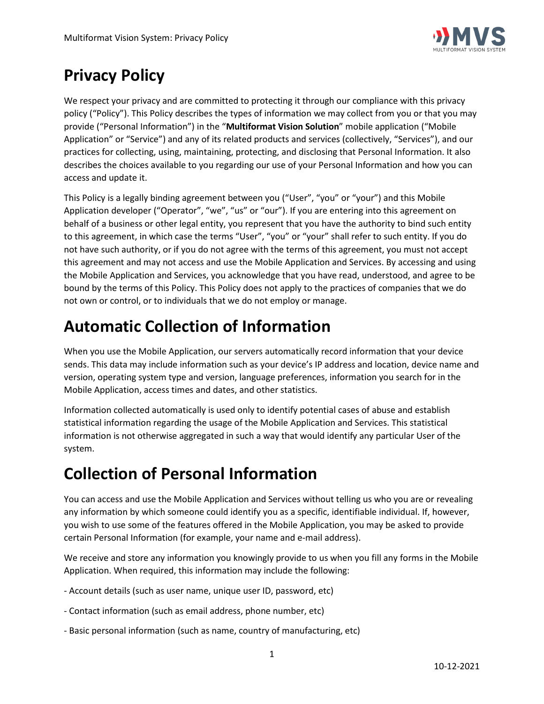

# **Privacy Policy**

We respect your privacy and are committed to protecting it through our compliance with this privacy policy ("Policy"). This Policy describes the types of information we may collect from you or that you may provide ("Personal Information") in the "**Multiformat Vision Solution**" mobile application ("Mobile Application" or "Service") and any of its related products and services (collectively, "Services"), and our practices for collecting, using, maintaining, protecting, and disclosing that Personal Information. It also describes the choices available to you regarding our use of your Personal Information and how you can access and update it.

This Policy is a legally binding agreement between you ("User", "you" or "your") and this Mobile Application developer ("Operator", "we", "us" or "our"). If you are entering into this agreement on behalf of a business or other legal entity, you represent that you have the authority to bind such entity to this agreement, in which case the terms "User", "you" or "your" shall refer to such entity. If you do not have such authority, or if you do not agree with the terms of this agreement, you must not accept this agreement and may not access and use the Mobile Application and Services. By accessing and using the Mobile Application and Services, you acknowledge that you have read, understood, and agree to be bound by the terms of this Policy. This Policy does not apply to the practices of companies that we do not own or control, or to individuals that we do not employ or manage.

# **Automatic Collection of Information**

When you use the Mobile Application, our servers automatically record information that your device sends. This data may include information such as your device's IP address and location, device name and version, operating system type and version, language preferences, information you search for in the Mobile Application, access times and dates, and other statistics.

Information collected automatically is used only to identify potential cases of abuse and establish statistical information regarding the usage of the Mobile Application and Services. This statistical information is not otherwise aggregated in such a way that would identify any particular User of the system.

## **Collection of Personal Information**

You can access and use the Mobile Application and Services without telling us who you are or revealing any information by which someone could identify you as a specific, identifiable individual. If, however, you wish to use some of the features offered in the Mobile Application, you may be asked to provide certain Personal Information (for example, your name and e-mail address).

We receive and store any information you knowingly provide to us when you fill any forms in the Mobile Application. When required, this information may include the following:

- Account details (such as user name, unique user ID, password, etc)
- Contact information (such as email address, phone number, etc)
- Basic personal information (such as name, country of manufacturing, etc)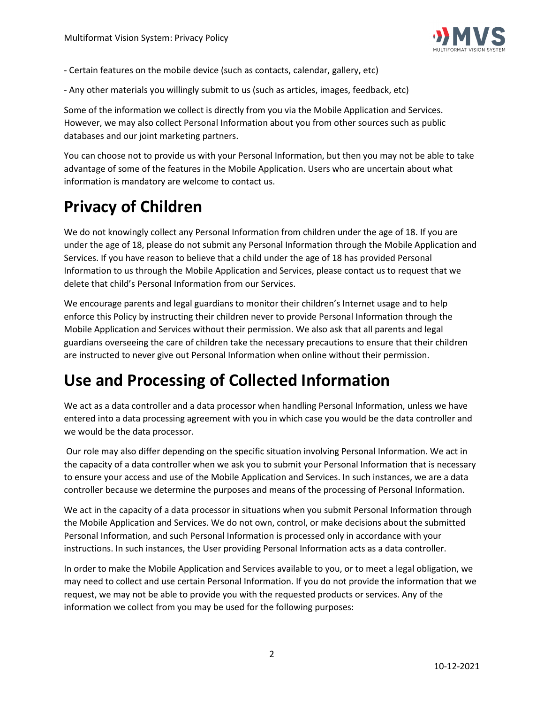

- Certain features on the mobile device (such as contacts, calendar, gallery, etc)
- Any other materials you willingly submit to us (such as articles, images, feedback, etc)

Some of the information we collect is directly from you via the Mobile Application and Services. However, we may also collect Personal Information about you from other sources such as public databases and our joint marketing partners.

You can choose not to provide us with your Personal Information, but then you may not be able to take advantage of some of the features in the Mobile Application. Users who are uncertain about what information is mandatory are welcome to contact us.

# **Privacy of Children**

We do not knowingly collect any Personal Information from children under the age of 18. If you are under the age of 18, please do not submit any Personal Information through the Mobile Application and Services. If you have reason to believe that a child under the age of 18 has provided Personal Information to us through the Mobile Application and Services, please contact us to request that we delete that child's Personal Information from our Services.

We encourage parents and legal guardians to monitor their children's Internet usage and to help enforce this Policy by instructing their children never to provide Personal Information through the Mobile Application and Services without their permission. We also ask that all parents and legal guardians overseeing the care of children take the necessary precautions to ensure that their children are instructed to never give out Personal Information when online without their permission.

## **Use and Processing of Collected Information**

We act as a data controller and a data processor when handling Personal Information, unless we have entered into a data processing agreement with you in which case you would be the data controller and we would be the data processor.

Our role may also differ depending on the specific situation involving Personal Information. We act in the capacity of a data controller when we ask you to submit your Personal Information that is necessary to ensure your access and use of the Mobile Application and Services. In such instances, we are a data controller because we determine the purposes and means of the processing of Personal Information.

We act in the capacity of a data processor in situations when you submit Personal Information through the Mobile Application and Services. We do not own, control, or make decisions about the submitted Personal Information, and such Personal Information is processed only in accordance with your instructions. In such instances, the User providing Personal Information acts as a data controller.

In order to make the Mobile Application and Services available to you, or to meet a legal obligation, we may need to collect and use certain Personal Information. If you do not provide the information that we request, we may not be able to provide you with the requested products or services. Any of the information we collect from you may be used for the following purposes: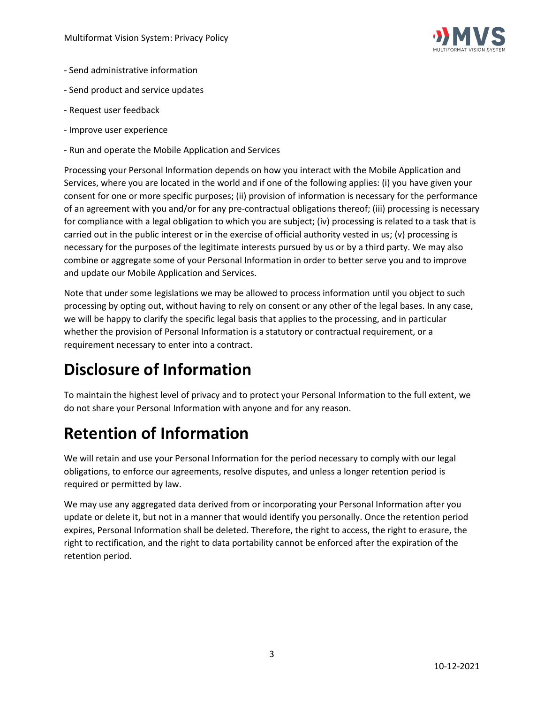

- Send administrative information
- Send product and service updates
- Request user feedback
- Improve user experience
- Run and operate the Mobile Application and Services

Processing your Personal Information depends on how you interact with the Mobile Application and Services, where you are located in the world and if one of the following applies: (i) you have given your consent for one or more specific purposes; (ii) provision of information is necessary for the performance of an agreement with you and/or for any pre-contractual obligations thereof; (iii) processing is necessary for compliance with a legal obligation to which you are subject; (iv) processing is related to a task that is carried out in the public interest or in the exercise of official authority vested in us; (v) processing is necessary for the purposes of the legitimate interests pursued by us or by a third party. We may also combine or aggregate some of your Personal Information in order to better serve you and to improve and update our Mobile Application and Services.

Note that under some legislations we may be allowed to process information until you object to such processing by opting out, without having to rely on consent or any other of the legal bases. In any case, we will be happy to clarify the specific legal basis that applies to the processing, and in particular whether the provision of Personal Information is a statutory or contractual requirement, or a requirement necessary to enter into a contract.

# **Disclosure of Information**

To maintain the highest level of privacy and to protect your Personal Information to the full extent, we do not share your Personal Information with anyone and for any reason.

# **Retention of Information**

We will retain and use your Personal Information for the period necessary to comply with our legal obligations, to enforce our agreements, resolve disputes, and unless a longer retention period is required or permitted by law.

We may use any aggregated data derived from or incorporating your Personal Information after you update or delete it, but not in a manner that would identify you personally. Once the retention period expires, Personal Information shall be deleted. Therefore, the right to access, the right to erasure, the right to rectification, and the right to data portability cannot be enforced after the expiration of the retention period.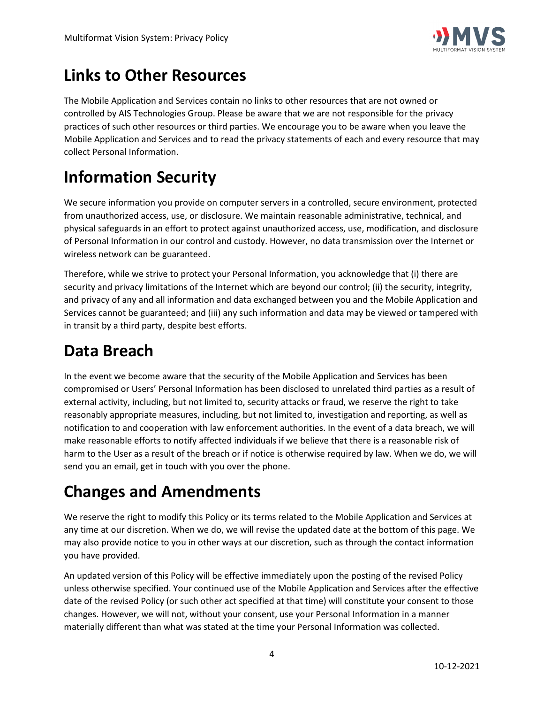

### **Links to Other Resources**

The Mobile Application and Services contain no links to other resources that are not owned or controlled by AIS Technologies Group. Please be aware that we are not responsible for the privacy practices of such other resources or third parties. We encourage you to be aware when you leave the Mobile Application and Services and to read the privacy statements of each and every resource that may collect Personal Information.

# **Information Security**

We secure information you provide on computer servers in a controlled, secure environment, protected from unauthorized access, use, or disclosure. We maintain reasonable administrative, technical, and physical safeguards in an effort to protect against unauthorized access, use, modification, and disclosure of Personal Information in our control and custody. However, no data transmission over the Internet or wireless network can be guaranteed.

Therefore, while we strive to protect your Personal Information, you acknowledge that (i) there are security and privacy limitations of the Internet which are beyond our control; (ii) the security, integrity, and privacy of any and all information and data exchanged between you and the Mobile Application and Services cannot be guaranteed; and (iii) any such information and data may be viewed or tampered with in transit by a third party, despite best efforts.

## **Data Breach**

In the event we become aware that the security of the Mobile Application and Services has been compromised or Users' Personal Information has been disclosed to unrelated third parties as a result of external activity, including, but not limited to, security attacks or fraud, we reserve the right to take reasonably appropriate measures, including, but not limited to, investigation and reporting, as well as notification to and cooperation with law enforcement authorities. In the event of a data breach, we will make reasonable efforts to notify affected individuals if we believe that there is a reasonable risk of harm to the User as a result of the breach or if notice is otherwise required by law. When we do, we will send you an email, get in touch with you over the phone.

# **Changes and Amendments**

We reserve the right to modify this Policy or its terms related to the Mobile Application and Services at any time at our discretion. When we do, we will revise the updated date at the bottom of this page. We may also provide notice to you in other ways at our discretion, such as through the contact information you have provided.

An updated version of this Policy will be effective immediately upon the posting of the revised Policy unless otherwise specified. Your continued use of the Mobile Application and Services after the effective date of the revised Policy (or such other act specified at that time) will constitute your consent to those changes. However, we will not, without your consent, use your Personal Information in a manner materially different than what was stated at the time your Personal Information was collected.